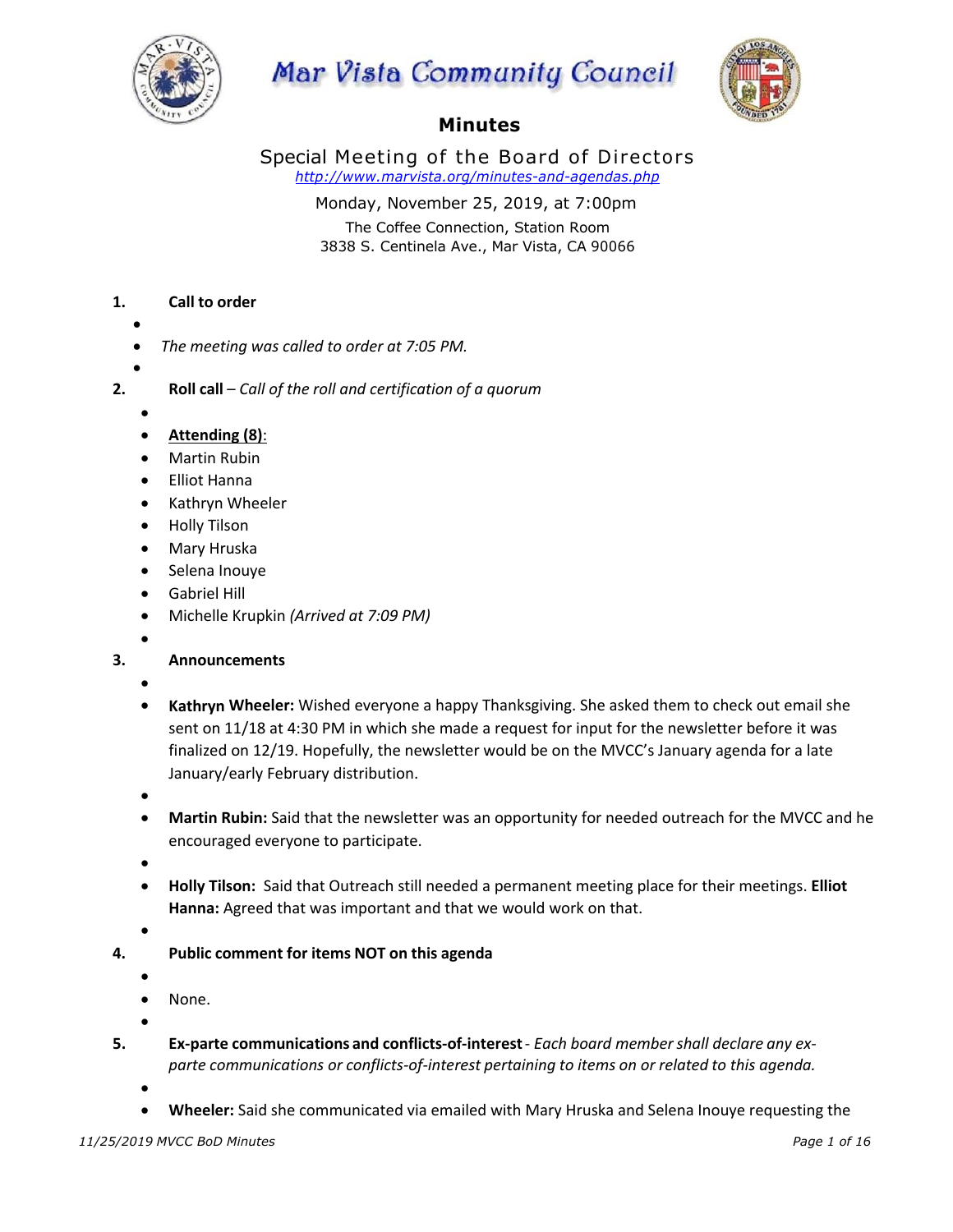

# **Mar Vista Community Council**



# **Minutes**

Special Meeting of the Board of Directors *http://www.marvista.org/minutes-and-agendas.php*

> Monday, November 25, 2019, at 7:00pm The Coffee Connection, Station Room 3838 S. Centinela Ave., Mar Vista, CA 90066

## **1. Call to order**

- •
- *The meeting was called to order at 7:05 PM.*
- •
- **2. Roll call** *Call of the roll and certification of a quorum*
	- •
	- **Attending (8)**:
	- Martin Rubin
	- Elliot Hanna
	- Kathryn Wheeler
	- Holly Tilson
	- Mary Hruska
	- Selena Inouye
	- Gabriel Hill
	- Michelle Krupkin *(Arrived at 7:09 PM)*
	- •
- **3. Announcements**
	- •
	- **Kathryn Wheeler:** Wished everyone a happy Thanksgiving. She asked them to check out email she sent on 11/18 at 4:30 PM in which she made a request for input for the newsletter before it was finalized on 12/19. Hopefully, the newsletter would be on the MVCC's January agenda for a late January/early February distribution.
	- •
	- **Martin Rubin:** Said that the newsletter was an opportunity for needed outreach for the MVCC and he encouraged everyone to participate.
	- •
	- **Holly Tilson:** Said that Outreach still needed a permanent meeting place for their meetings. **Elliot Hanna:** Agreed that was important and that we would work on that.
	- •
- **4. Public comment for items NOT on this agenda**
	- •
	- None.

- **5. Ex-parte communications and conflicts-of-interest** *Each board membershall declare any exparte communications or conflicts-of-interest pertaining to items on or related to this agenda.*
	- - **Wheeler:** Said she communicated via emailed with Mary Hruska and Selena Inouye requesting the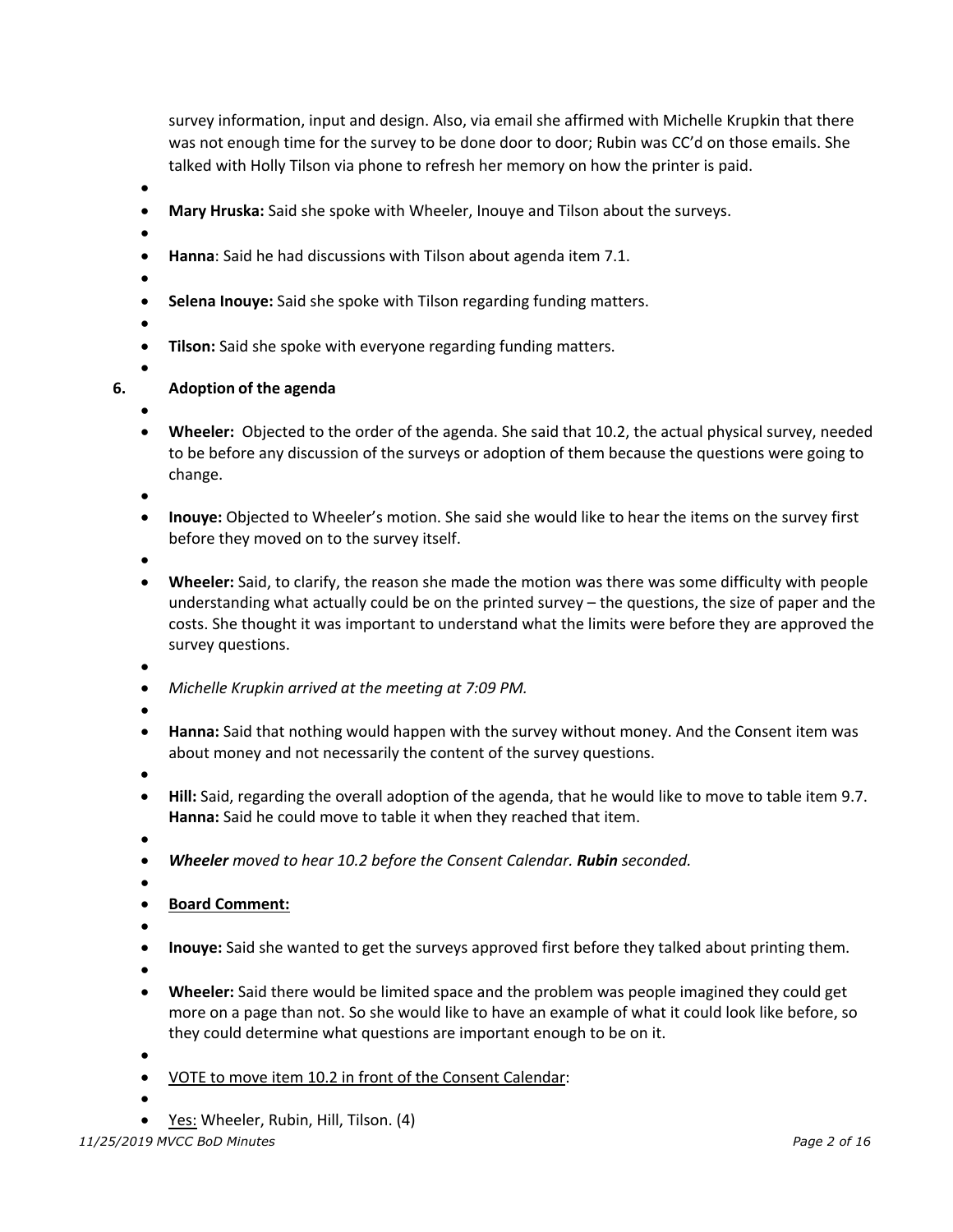survey information, input and design. Also, via email she affirmed with Michelle Krupkin that there was not enough time for the survey to be done door to door; Rubin was CC'd on those emails. She talked with Holly Tilson via phone to refresh her memory on how the printer is paid.

- •
- **Mary Hruska:** Said she spoke with Wheeler, Inouye and Tilson about the surveys.
- •
- **Hanna**: Said he had discussions with Tilson about agenda item 7.1.
- •
- **Selena Inouye:** Said she spoke with Tilson regarding funding matters.
- •

•

- **Tilson:** Said she spoke with everyone regarding funding matters.
- 

#### **6. Adoption of the agenda**

- •
- **Wheeler:** Objected to the order of the agenda. She said that 10.2, the actual physical survey, needed to be before any discussion of the surveys or adoption of them because the questions were going to change.
- •
- **Inouye:** Objected to Wheeler's motion. She said she would like to hear the items on the survey first before they moved on to the survey itself.
- •
- **Wheeler:** Said, to clarify, the reason she made the motion was there was some difficulty with people understanding what actually could be on the printed survey – the questions, the size of paper and the costs. She thought it was important to understand what the limits were before they are approved the survey questions.
- •
- *Michelle Krupkin arrived at the meeting at 7:09 PM.*
- •
- **Hanna:** Said that nothing would happen with the survey without money. And the Consent item was about money and not necessarily the content of the survey questions.
- •
- **Hill:** Said, regarding the overall adoption of the agenda, that he would like to move to table item 9.7. **Hanna:** Said he could move to table it when they reached that item.
- •
- *Wheeler moved to hear 10.2 before the Consent Calendar. Rubin seconded.*
- •
- **Board Comment:**
- •
- **Inouye:** Said she wanted to get the surveys approved first before they talked about printing them.
- •
- **Wheeler:** Said there would be limited space and the problem was people imagined they could get more on a page than not. So she would like to have an example of what it could look like before, so they could determine what questions are important enough to be on it.
- •
- VOTE to move item 10.2 in front of the Consent Calendar:
- •
- Yes: Wheeler, Rubin, Hill, Tilson. (4)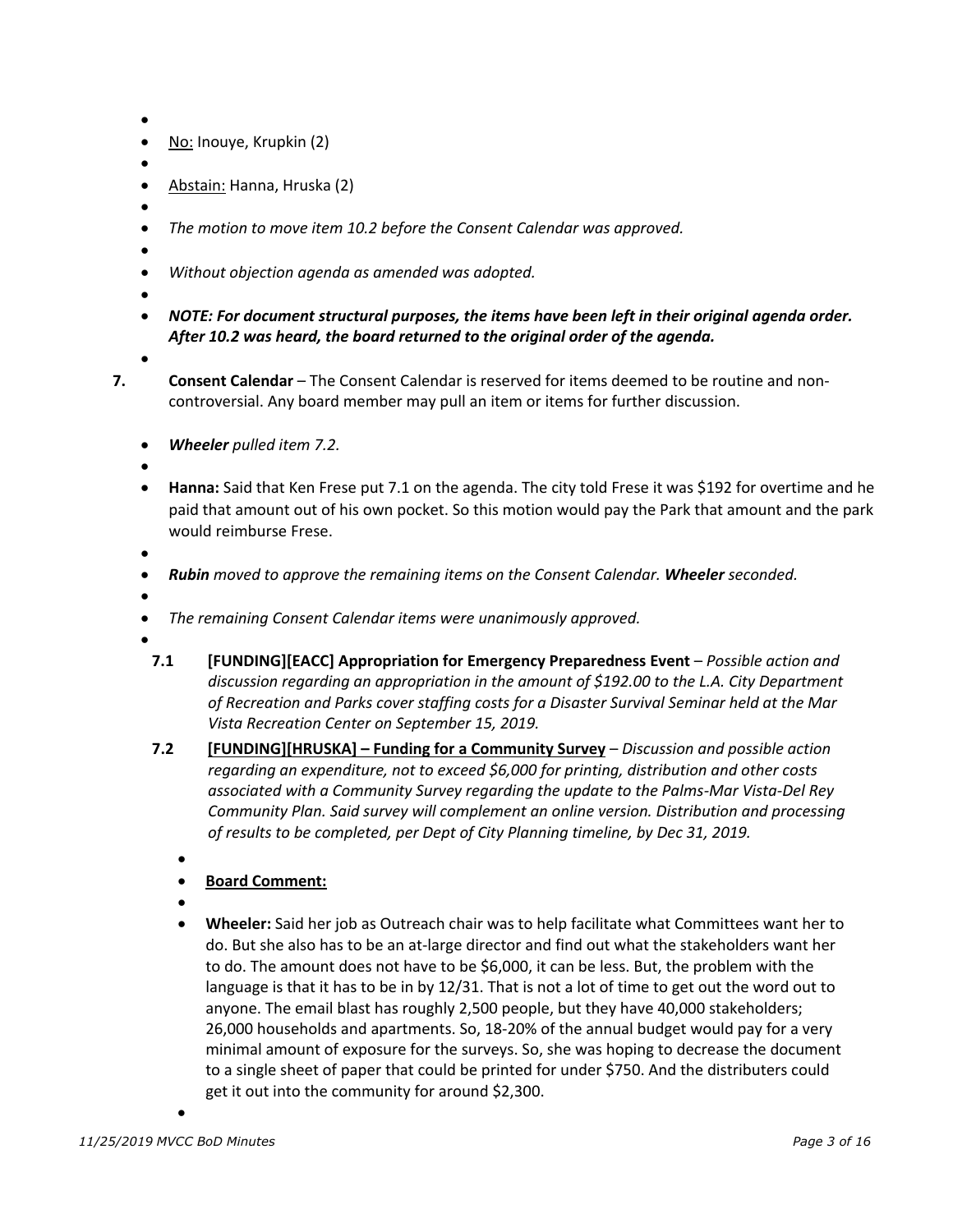- •
- No: Inouye, Krupkin (2)
- •
- Abstain: Hanna, Hruska (2)
- •
- *The motion to move item 10.2 before the Consent Calendar was approved.*
- • *Without objection agenda as amended was adopted.*
- •

•

• *NOTE: For document structural purposes, the items have been left in their original agenda order. After 10.2 was heard, the board returned to the original order of the agenda.* 

- **7. Consent Calendar** The Consent Calendar is reserved for items deemed to be routine and noncontroversial. Any board member may pull an item or items for further discussion.
	- *Wheeler pulled item 7.2.*

•

• **Hanna:** Said that Ken Frese put 7.1 on the agenda. The city told Frese it was \$192 for overtime and he paid that amount out of his own pocket. So this motion would pay the Park that amount and the park would reimburse Frese.

- *Rubin moved to approve the remaining items on the Consent Calendar. Wheeler seconded.*
- •
- *The remaining Consent Calendar items were unanimously approved.*
- - **7.1 [FUNDING][EACC] Appropriation for Emergency Preparedness Event** – *Possible action and discussion regarding an appropriation in the amount of \$192.00 to the L.A. City Department of Recreation and Parks cover staffing costs for a Disaster Survival Seminar held at the Mar Vista Recreation Center on September 15, 2019.*
	- **7.2 [FUNDING][HRUSKA] Funding for a Community Survey** *Discussion and possible action regarding an expenditure, not to exceed \$6,000 for printing, distribution and other costs associated with a Community Survey regarding the update to the Palms-Mar Vista-Del Rey Community Plan. Said survey will complement an online version. Distribution and processing of results to be completed, per Dept of City Planning timeline, by Dec 31, 2019.*
		- •
		- **Board Comment:**
		- •
		- **Wheeler:** Said her job as Outreach chair was to help facilitate what Committees want her to do. But she also has to be an at-large director and find out what the stakeholders want her to do. The amount does not have to be \$6,000, it can be less. But, the problem with the language is that it has to be in by 12/31. That is not a lot of time to get out the word out to anyone. The email blast has roughly 2,500 people, but they have 40,000 stakeholders; 26,000 households and apartments. So, 18-20% of the annual budget would pay for a very minimal amount of exposure for the surveys. So, she was hoping to decrease the document to a single sheet of paper that could be printed for under \$750. And the distributers could get it out into the community for around \$2,300.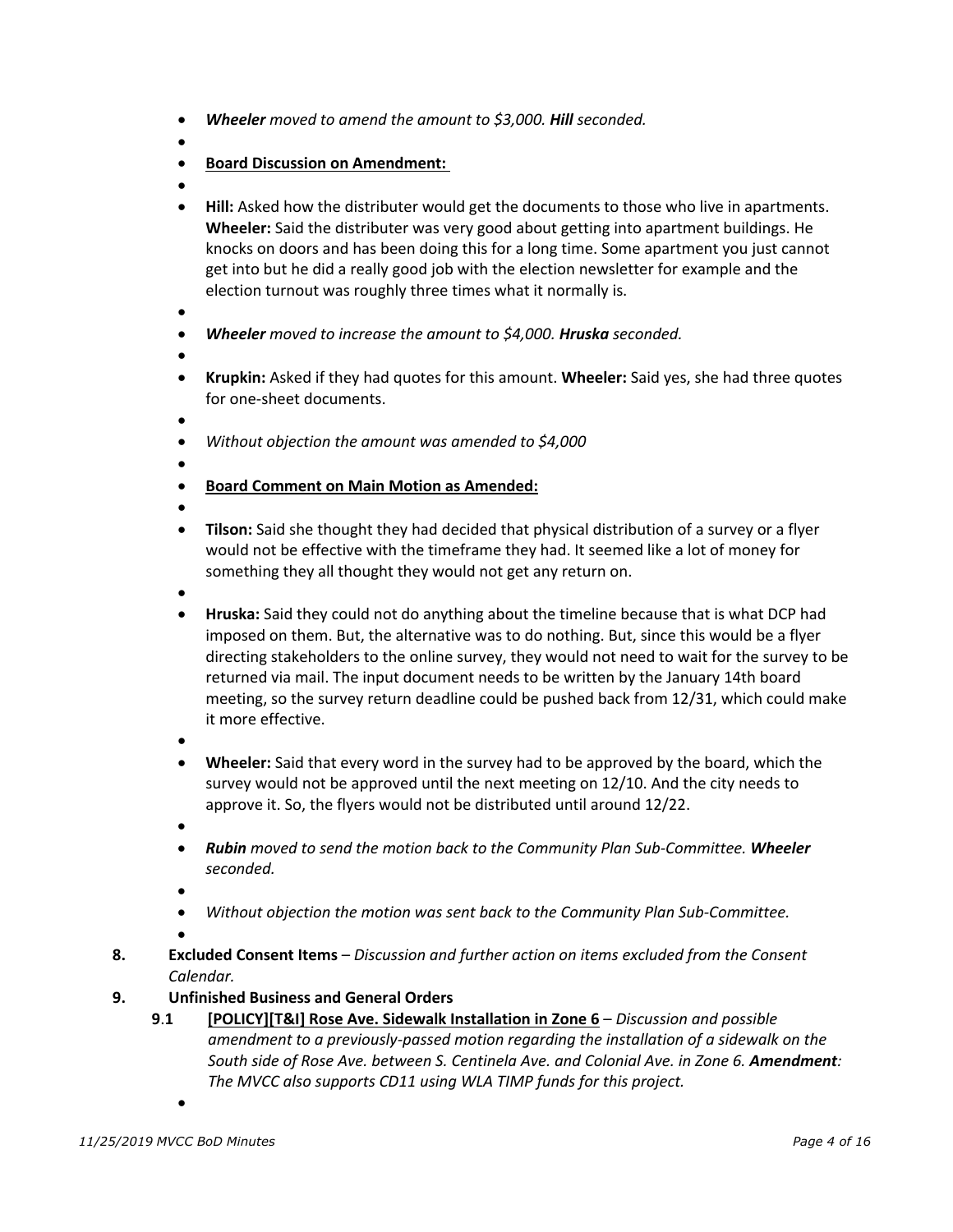- *Wheeler moved to amend the amount to \$3,000. Hill seconded.*
- •
- **Board Discussion on Amendment:**
- •
- **Hill:** Asked how the distributer would get the documents to those who live in apartments. **Wheeler:** Said the distributer was very good about getting into apartment buildings. He knocks on doors and has been doing this for a long time. Some apartment you just cannot get into but he did a really good job with the election newsletter for example and the election turnout was roughly three times what it normally is.
- •
- *Wheeler moved to increase the amount to \$4,000. Hruska seconded.*
- •
- **Krupkin:** Asked if they had quotes for this amount. **Wheeler:** Said yes, she had three quotes for one-sheet documents.
- •
- *Without objection the amount was amended to \$4,000*
- - **Board Comment on Main Motion as Amended:**
- •
- **Tilson:** Said she thought they had decided that physical distribution of a survey or a flyer would not be effective with the timeframe they had. It seemed like a lot of money for something they all thought they would not get any return on.
- •
- **Hruska:** Said they could not do anything about the timeline because that is what DCP had imposed on them. But, the alternative was to do nothing. But, since this would be a flyer directing stakeholders to the online survey, they would not need to wait for the survey to be returned via mail. The input document needs to be written by the January 14th board meeting, so the survey return deadline could be pushed back from 12/31, which could make it more effective.
- •
- **Wheeler:** Said that every word in the survey had to be approved by the board, which the survey would not be approved until the next meeting on 12/10. And the city needs to approve it. So, the flyers would not be distributed until around 12/22.
- •
- *Rubin moved to send the motion back to the Community Plan Sub-Committee. Wheeler seconded.*
- •
- *Without objection the motion was sent back to the Community Plan Sub-Committee.*

- **8. Excluded Consent Items** *Discussion and further action on items excluded from the Consent Calendar.*
- **9. Unfinished Business and General Orders**
	- **9**.**1 [POLICY][T&I] Rose Ave. Sidewalk Installation in Zone 6** *Discussion and possible amendment to a previously-passed motion regarding the installation of a sidewalk on the*  South side of Rose Ave. between S. Centinela Ave. and Colonial Ave. in Zone 6. Amendment: *The MVCC also supports CD11 using WLA TIMP funds for this project.*
		- •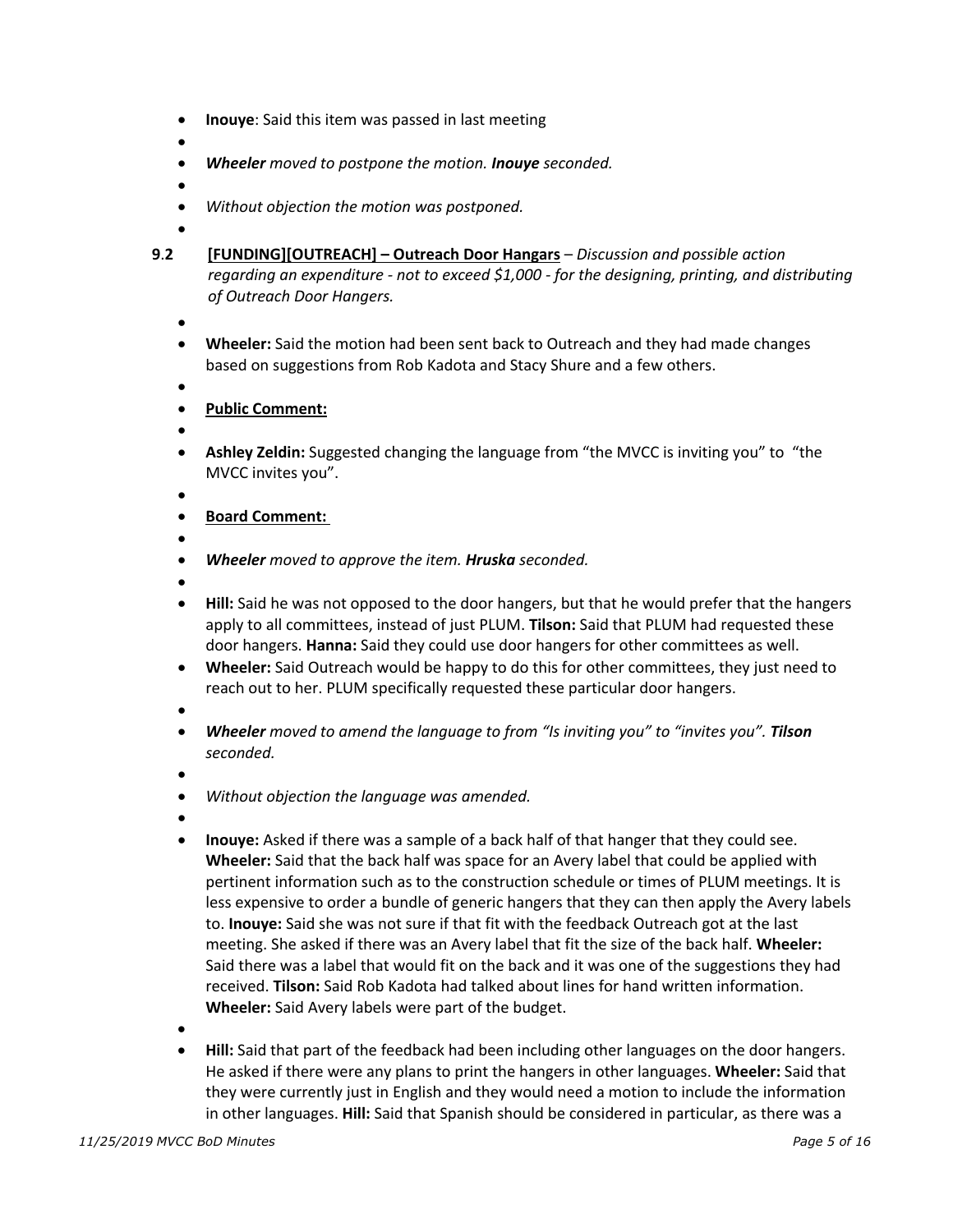- **Inouye**: Said this item was passed in last meeting
- •
- *Wheeler moved to postpone the motion. Inouye seconded.*
- - *Without objection the motion was postponed.*
- •
- **9**.**2 [FUNDING][OUTREACH] Outreach Door Hangars** *Discussion and possible action regarding an expenditure - not to exceed \$1,000 - for the designing, printing, and distributing of Outreach Door Hangers.*
	- •
	- **Wheeler:** Said the motion had been sent back to Outreach and they had made changes based on suggestions from Rob Kadota and Stacy Shure and a few others.
	- •
	- **Public Comment:**
	- •
	- **Ashley Zeldin:** Suggested changing the language from "the MVCC is inviting you" to "the MVCC invites you".
	- •
	- **Board Comment:**
	- •
	- *Wheeler moved to approve the item. Hruska seconded.*
	- •
	- **Hill:** Said he was not opposed to the door hangers, but that he would prefer that the hangers apply to all committees, instead of just PLUM. **Tilson:** Said that PLUM had requested these door hangers. **Hanna:** Said they could use door hangers for other committees as well.
	- **Wheeler:** Said Outreach would be happy to do this for other committees, they just need to reach out to her. PLUM specifically requested these particular door hangers.
	- •
	- *Wheeler moved to amend the language to from "Is inviting you" to "invites you". Tilson seconded.*
	- •
	- *Without objection the language was amended.*
	- •
	- **Inouye:** Asked if there was a sample of a back half of that hanger that they could see. **Wheeler:** Said that the back half was space for an Avery label that could be applied with pertinent information such as to the construction schedule or times of PLUM meetings. It is less expensive to order a bundle of generic hangers that they can then apply the Avery labels to. **Inouye:** Said she was not sure if that fit with the feedback Outreach got at the last meeting. She asked if there was an Avery label that fit the size of the back half. **Wheeler:** Said there was a label that would fit on the back and it was one of the suggestions they had received. **Tilson:** Said Rob Kadota had talked about lines for hand written information. **Wheeler:** Said Avery labels were part of the budget.
	- •
	- **Hill:** Said that part of the feedback had been including other languages on the door hangers. He asked if there were any plans to print the hangers in other languages. **Wheeler:** Said that they were currently just in English and they would need a motion to include the information in other languages. **Hill:** Said that Spanish should be considered in particular, as there was a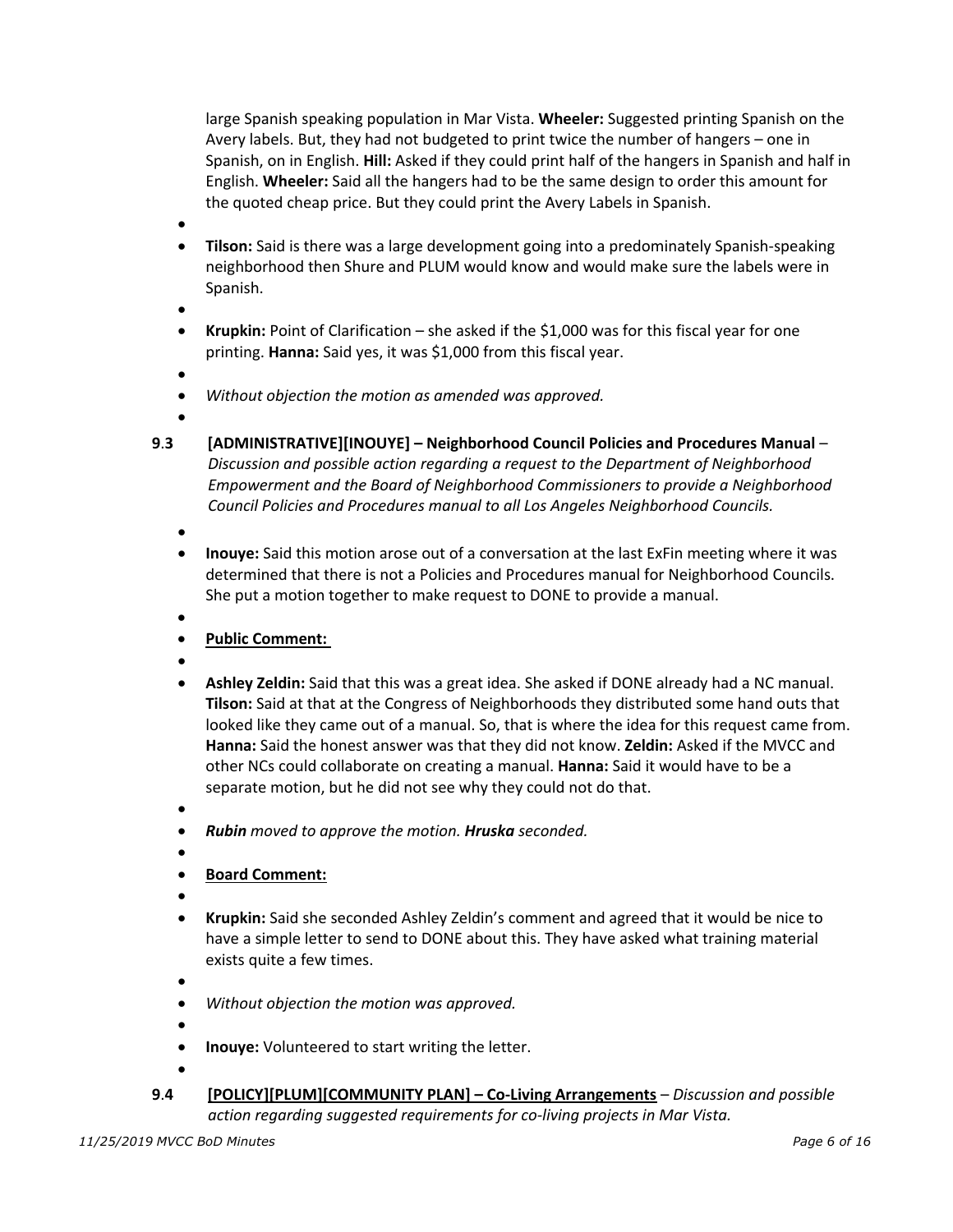large Spanish speaking population in Mar Vista. **Wheeler:** Suggested printing Spanish on the Avery labels. But, they had not budgeted to print twice the number of hangers – one in Spanish, on in English. **Hill:** Asked if they could print half of the hangers in Spanish and half in English. **Wheeler:** Said all the hangers had to be the same design to order this amount for the quoted cheap price. But they could print the Avery Labels in Spanish.

•

• **Tilson:** Said is there was a large development going into a predominately Spanish-speaking neighborhood then Shure and PLUM would know and would make sure the labels were in Spanish.

•

• **Krupkin:** Point of Clarification – she asked if the \$1,000 was for this fiscal year for one printing. **Hanna:** Said yes, it was \$1,000 from this fiscal year.

•

• *Without objection the motion as amended was approved.* 

•

**9**.**3 [ADMINISTRATIVE][INOUYE] – Neighborhood Council Policies and Procedures Manual** – *Discussion and possible action regarding a request to the Department of Neighborhood Empowerment and the Board of Neighborhood Commissioners to provide a Neighborhood Council Policies and Procedures manual to all Los Angeles Neighborhood Councils.*

•

- **Inouye:** Said this motion arose out of a conversation at the last ExFin meeting where it was determined that there is not a Policies and Procedures manual for Neighborhood Councils. She put a motion together to make request to DONE to provide a manual.
- •
- **Public Comment:**
- •
- **Ashley Zeldin:** Said that this was a great idea. She asked if DONE already had a NC manual. **Tilson:** Said at that at the Congress of Neighborhoods they distributed some hand outs that looked like they came out of a manual. So, that is where the idea for this request came from. **Hanna:** Said the honest answer was that they did not know. **Zeldin:** Asked if the MVCC and other NCs could collaborate on creating a manual. **Hanna:** Said it would have to be a separate motion, but he did not see why they could not do that.

•

- *Rubin moved to approve the motion. Hruska seconded.*
- •
- **Board Comment:**
- •
- **Krupkin:** Said she seconded Ashley Zeldin's comment and agreed that it would be nice to have a simple letter to send to DONE about this. They have asked what training material exists quite a few times.

- *Without objection the motion was approved.*
- •
- **Inouye:** Volunteered to start writing the letter.
- **9**.**4 [POLICY][PLUM][COMMUNITY PLAN] Co-Living Arrangements** *Discussion and possible action regarding suggested requirements for co-living projects in Mar Vista.*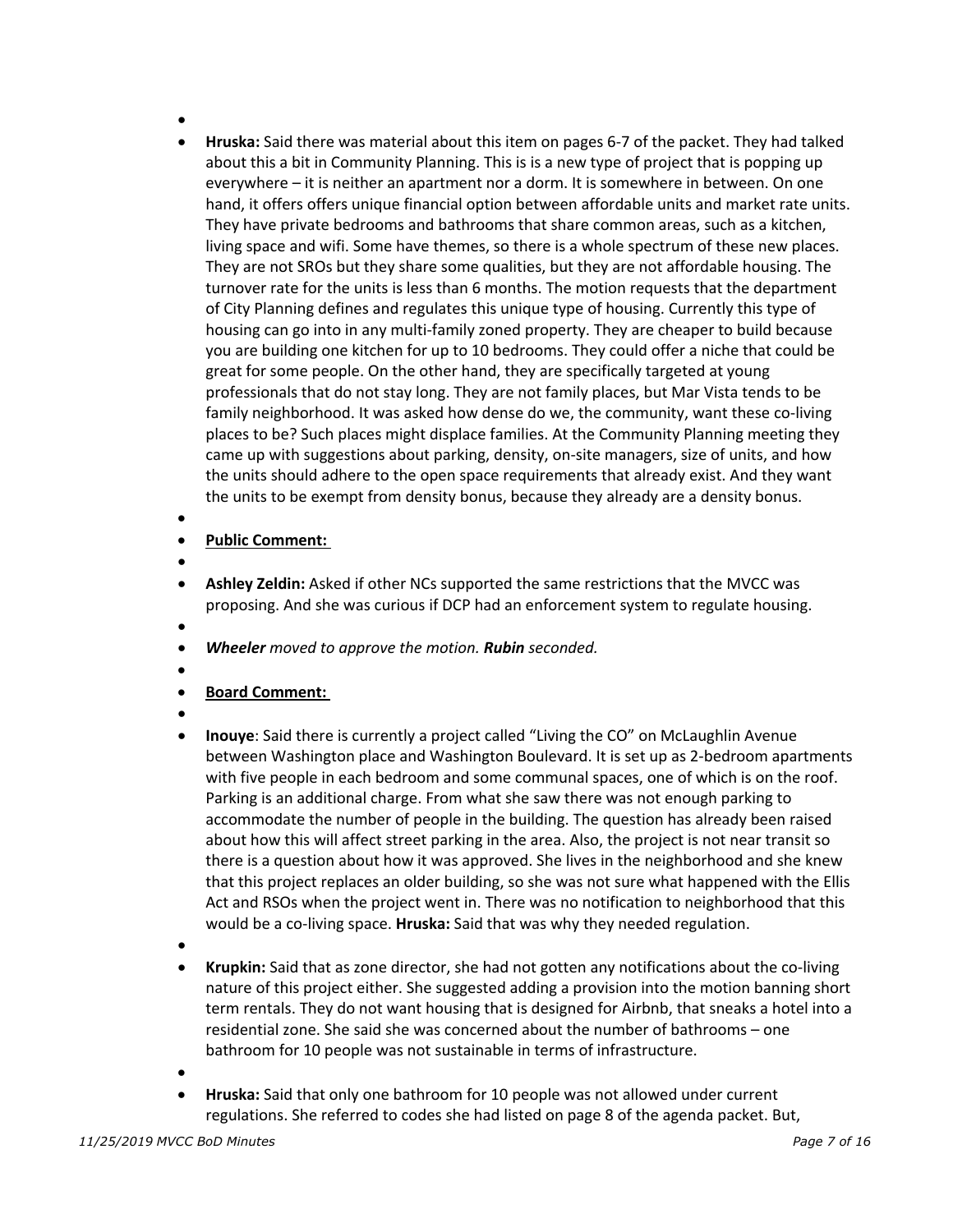- •
- **Hruska:** Said there was material about this item on pages 6-7 of the packet. They had talked about this a bit in Community Planning. This is is a new type of project that is popping up everywhere – it is neither an apartment nor a dorm. It is somewhere in between. On one hand, it offers offers unique financial option between affordable units and market rate units. They have private bedrooms and bathrooms that share common areas, such as a kitchen, living space and wifi. Some have themes, so there is a whole spectrum of these new places. They are not SROs but they share some qualities, but they are not affordable housing. The turnover rate for the units is less than 6 months. The motion requests that the department of City Planning defines and regulates this unique type of housing. Currently this type of housing can go into in any multi-family zoned property. They are cheaper to build because you are building one kitchen for up to 10 bedrooms. They could offer a niche that could be great for some people. On the other hand, they are specifically targeted at young professionals that do not stay long. They are not family places, but Mar Vista tends to be family neighborhood. It was asked how dense do we, the community, want these co-living places to be? Such places might displace families. At the Community Planning meeting they came up with suggestions about parking, density, on-site managers, size of units, and how the units should adhere to the open space requirements that already exist. And they want the units to be exempt from density bonus, because they already are a density bonus.
- •

#### • **Public Comment:**

- •
- **Ashley Zeldin:** Asked if other NCs supported the same restrictions that the MVCC was proposing. And she was curious if DCP had an enforcement system to regulate housing.
- •
- *Wheeler moved to approve the motion. Rubin seconded.*
- •
- **Board Comment:**
- •
- **Inouye**: Said there is currently a project called "Living the CO" on McLaughlin Avenue between Washington place and Washington Boulevard. It is set up as 2-bedroom apartments with five people in each bedroom and some communal spaces, one of which is on the roof. Parking is an additional charge. From what she saw there was not enough parking to accommodate the number of people in the building. The question has already been raised about how this will affect street parking in the area. Also, the project is not near transit so there is a question about how it was approved. She lives in the neighborhood and she knew that this project replaces an older building, so she was not sure what happened with the Ellis Act and RSOs when the project went in. There was no notification to neighborhood that this would be a co-living space. **Hruska:** Said that was why they needed regulation.
- •
- **Krupkin:** Said that as zone director, she had not gotten any notifications about the co-living nature of this project either. She suggested adding a provision into the motion banning short term rentals. They do not want housing that is designed for Airbnb, that sneaks a hotel into a residential zone. She said she was concerned about the number of bathrooms – one bathroom for 10 people was not sustainable in terms of infrastructure.
- •
- **Hruska:** Said that only one bathroom for 10 people was not allowed under current regulations. She referred to codes she had listed on page 8 of the agenda packet. But,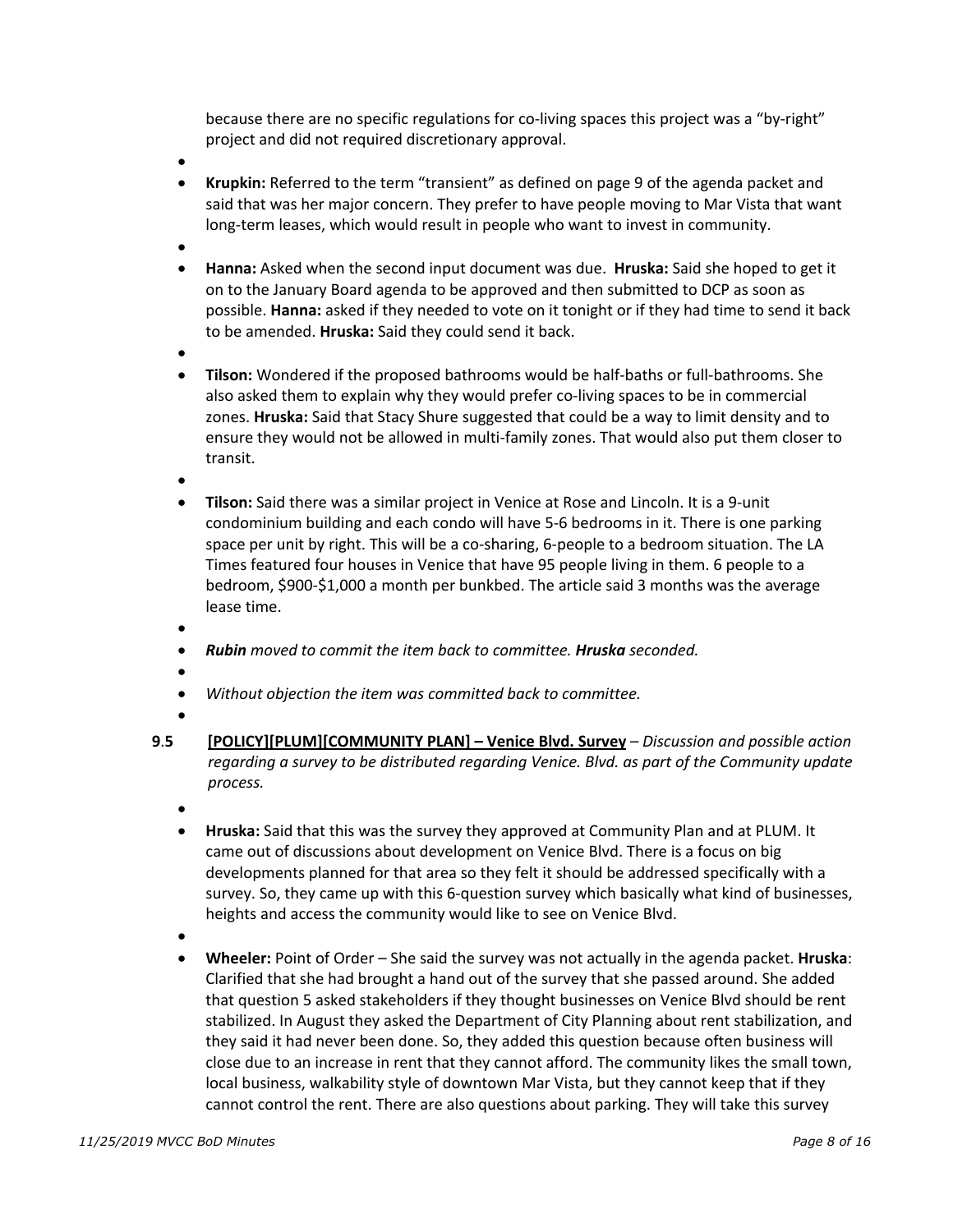because there are no specific regulations for co-living spaces this project was a "by-right" project and did not required discretionary approval.

- •
- **Krupkin:** Referred to the term "transient" as defined on page 9 of the agenda packet and said that was her major concern. They prefer to have people moving to Mar Vista that want long-term leases, which would result in people who want to invest in community.
- •
- **Hanna:** Asked when the second input document was due. **Hruska:** Said she hoped to get it on to the January Board agenda to be approved and then submitted to DCP as soon as possible. **Hanna:** asked if they needed to vote on it tonight or if they had time to send it back to be amended. **Hruska:** Said they could send it back.
- •
- **Tilson:** Wondered if the proposed bathrooms would be half-baths or full-bathrooms. She also asked them to explain why they would prefer co-living spaces to be in commercial zones. **Hruska:** Said that Stacy Shure suggested that could be a way to limit density and to ensure they would not be allowed in multi-family zones. That would also put them closer to transit.
- •
- **Tilson:** Said there was a similar project in Venice at Rose and Lincoln. It is a 9-unit condominium building and each condo will have 5-6 bedrooms in it. There is one parking space per unit by right. This will be a co-sharing, 6-people to a bedroom situation. The LA Times featured four houses in Venice that have 95 people living in them. 6 people to a bedroom, \$900-\$1,000 a month per bunkbed. The article said 3 months was the average lease time.
- •
- *Rubin moved to commit the item back to committee. Hruska seconded.*
- - *Without objection the item was committed back to committee.*
- •
- **9**.**5 [POLICY][PLUM][COMMUNITY PLAN] Venice Blvd. Survey** *Discussion and possible action regarding a survey to be distributed regarding Venice. Blvd. as part of the Community update process.*
	- •
	- **Hruska:** Said that this was the survey they approved at Community Plan and at PLUM. It came out of discussions about development on Venice Blvd. There is a focus on big developments planned for that area so they felt it should be addressed specifically with a survey. So, they came up with this 6-question survey which basically what kind of businesses, heights and access the community would like to see on Venice Blvd.
	- •
	- **Wheeler:** Point of Order She said the survey was not actually in the agenda packet. **Hruska**: Clarified that she had brought a hand out of the survey that she passed around. She added that question 5 asked stakeholders if they thought businesses on Venice Blvd should be rent stabilized. In August they asked the Department of City Planning about rent stabilization, and they said it had never been done. So, they added this question because often business will close due to an increase in rent that they cannot afford. The community likes the small town, local business, walkability style of downtown Mar Vista, but they cannot keep that if they cannot control the rent. There are also questions about parking. They will take this survey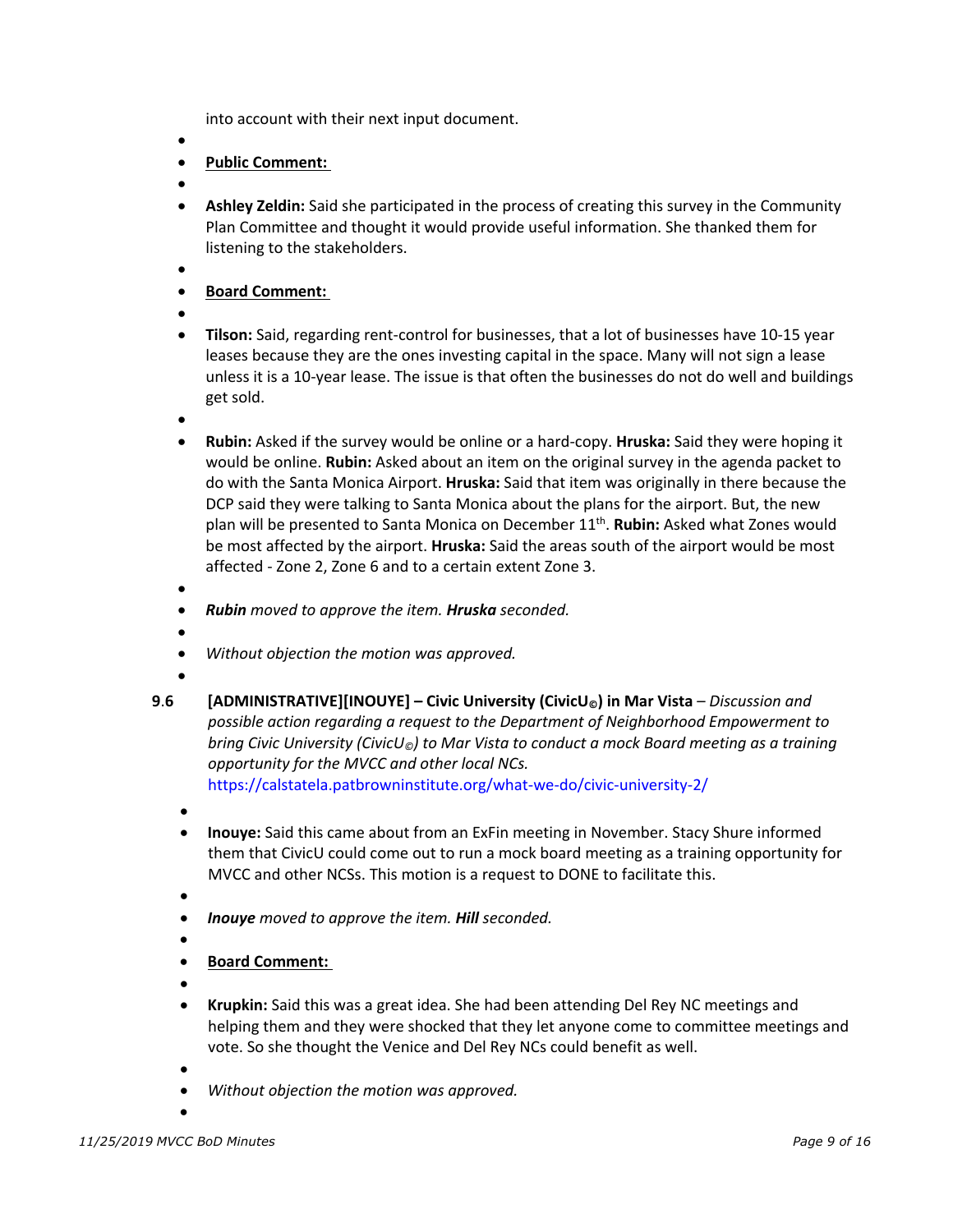into account with their next input document.

- •
- **Public Comment:**
- •
- **Ashley Zeldin:** Said she participated in the process of creating this survey in the Community Plan Committee and thought it would provide useful information. She thanked them for listening to the stakeholders.
- •
- **Board Comment:**
- •
- **Tilson:** Said, regarding rent-control for businesses, that a lot of businesses have 10-15 year leases because they are the ones investing capital in the space. Many will not sign a lease unless it is a 10-year lease. The issue is that often the businesses do not do well and buildings get sold.
- •
- **Rubin:** Asked if the survey would be online or a hard-copy. **Hruska:** Said they were hoping it would be online. **Rubin:** Asked about an item on the original survey in the agenda packet to do with the Santa Monica Airport. **Hruska:** Said that item was originally in there because the DCP said they were talking to Santa Monica about the plans for the airport. But, the new plan will be presented to Santa Monica on December 11th. **Rubin:** Asked what Zones would be most affected by the airport. **Hruska:** Said the areas south of the airport would be most affected - Zone 2, Zone 6 and to a certain extent Zone 3.
- •
- *Rubin moved to approve the item. Hruska seconded.*
- - *Without objection the motion was approved.*
- •
- **9**.**6 [ADMINISTRATIVE][INOUYE] Civic University (CivicU©) in Mar Vista** *Discussion and possible action regarding a request to the Department of Neighborhood Empowerment to bring Civic University (CivicU©) to Mar Vista to conduct a mock Board meeting as a training opportunity for the MVCC and other local NCs.*

https://calstatela.patbrowninstitute.org/what-we-do/civic-university-2/

- •
- **Inouye:** Said this came about from an ExFin meeting in November. Stacy Shure informed them that CivicU could come out to run a mock board meeting as a training opportunity for MVCC and other NCSs. This motion is a request to DONE to facilitate this.
- •
- *Inouye moved to approve the item. Hill seconded.*
- - **Board Comment:**
- •
- **Krupkin:** Said this was a great idea. She had been attending Del Rey NC meetings and helping them and they were shocked that they let anyone come to committee meetings and vote. So she thought the Venice and Del Rey NCs could benefit as well.
- •

•

• *Without objection the motion was approved.*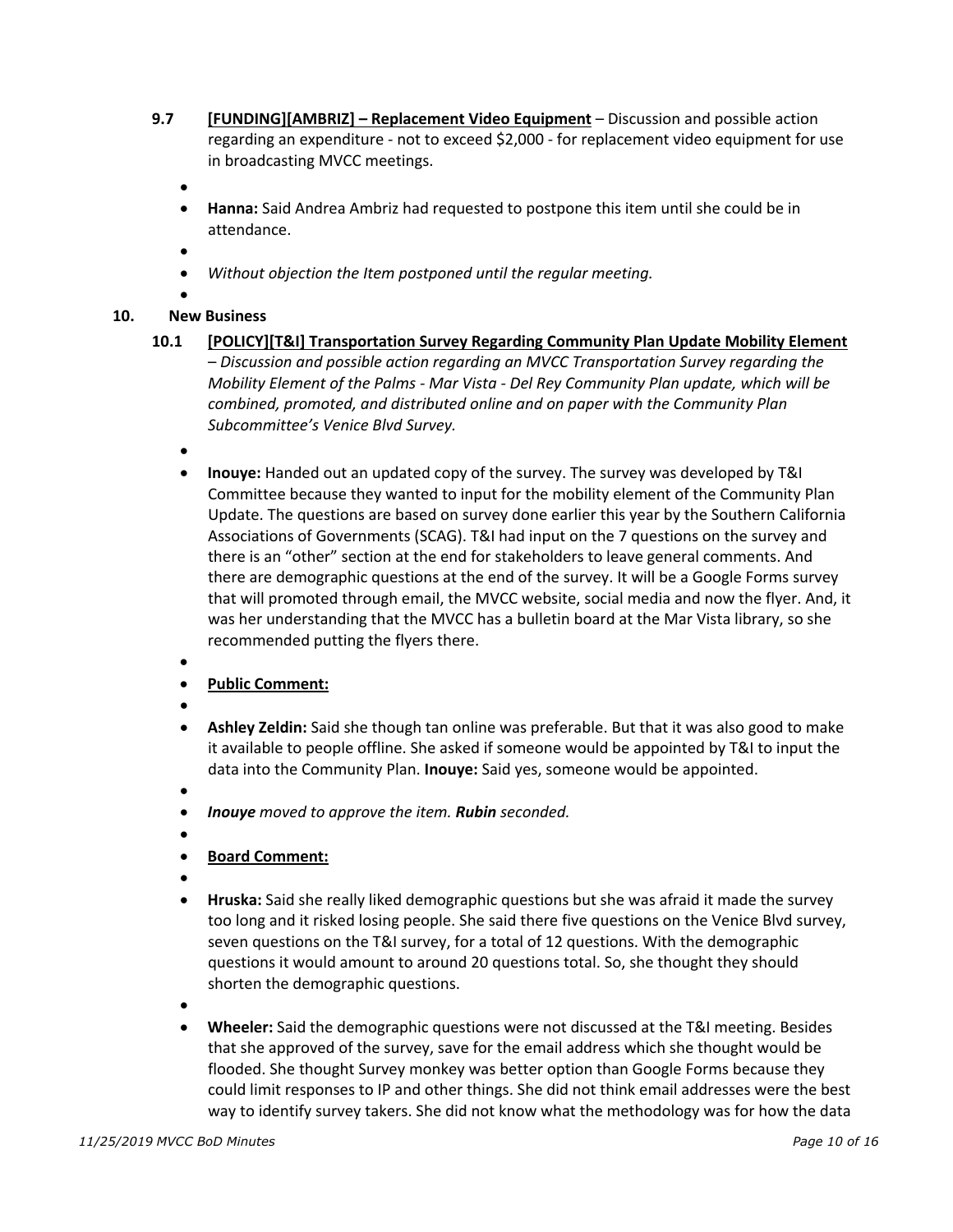- **9.7 [FUNDING][AMBRIZ] Replacement Video Equipment** Discussion and possible action regarding an expenditure - not to exceed \$2,000 - for replacement video equipment for use in broadcasting MVCC meetings.
	- •
	- **Hanna:** Said Andrea Ambriz had requested to postpone this item until she could be in attendance.
	- •
	- *Without objection the Item postponed until the regular meeting.*
	- •

## **10. New Business**

- **10.1 [POLICY][T&I] Transportation Survey Regarding Community Plan Update Mobility Element** – *Discussion and possible action regarding an MVCC Transportation Survey regarding the Mobility Element of the Palms - Mar Vista - Del Rey Community Plan update, which will be combined, promoted, and distributed online and on paper with the Community Plan Subcommittee's Venice Blvd Survey.*
	- •
	- **Inouye:** Handed out an updated copy of the survey. The survey was developed by T&I Committee because they wanted to input for the mobility element of the Community Plan Update. The questions are based on survey done earlier this year by the Southern California Associations of Governments (SCAG). T&I had input on the 7 questions on the survey and there is an "other" section at the end for stakeholders to leave general comments. And there are demographic questions at the end of the survey. It will be a Google Forms survey that will promoted through email, the MVCC website, social media and now the flyer. And, it was her understanding that the MVCC has a bulletin board at the Mar Vista library, so she recommended putting the flyers there.
	- •
	- **Public Comment:**
	- •
	- **Ashley Zeldin:** Said she though tan online was preferable. But that it was also good to make it available to people offline. She asked if someone would be appointed by T&I to input the data into the Community Plan. **Inouye:** Said yes, someone would be appointed.
	- •
	- *Inouye moved to approve the item. Rubin seconded.*
	- •
	- **Board Comment:**
	- •
	- **Hruska:** Said she really liked demographic questions but she was afraid it made the survey too long and it risked losing people. She said there five questions on the Venice Blvd survey, seven questions on the T&I survey, for a total of 12 questions. With the demographic questions it would amount to around 20 questions total. So, she thought they should shorten the demographic questions.
	- •
	- **Wheeler:** Said the demographic questions were not discussed at the T&I meeting. Besides that she approved of the survey, save for the email address which she thought would be flooded. She thought Survey monkey was better option than Google Forms because they could limit responses to IP and other things. She did not think email addresses were the best way to identify survey takers. She did not know what the methodology was for how the data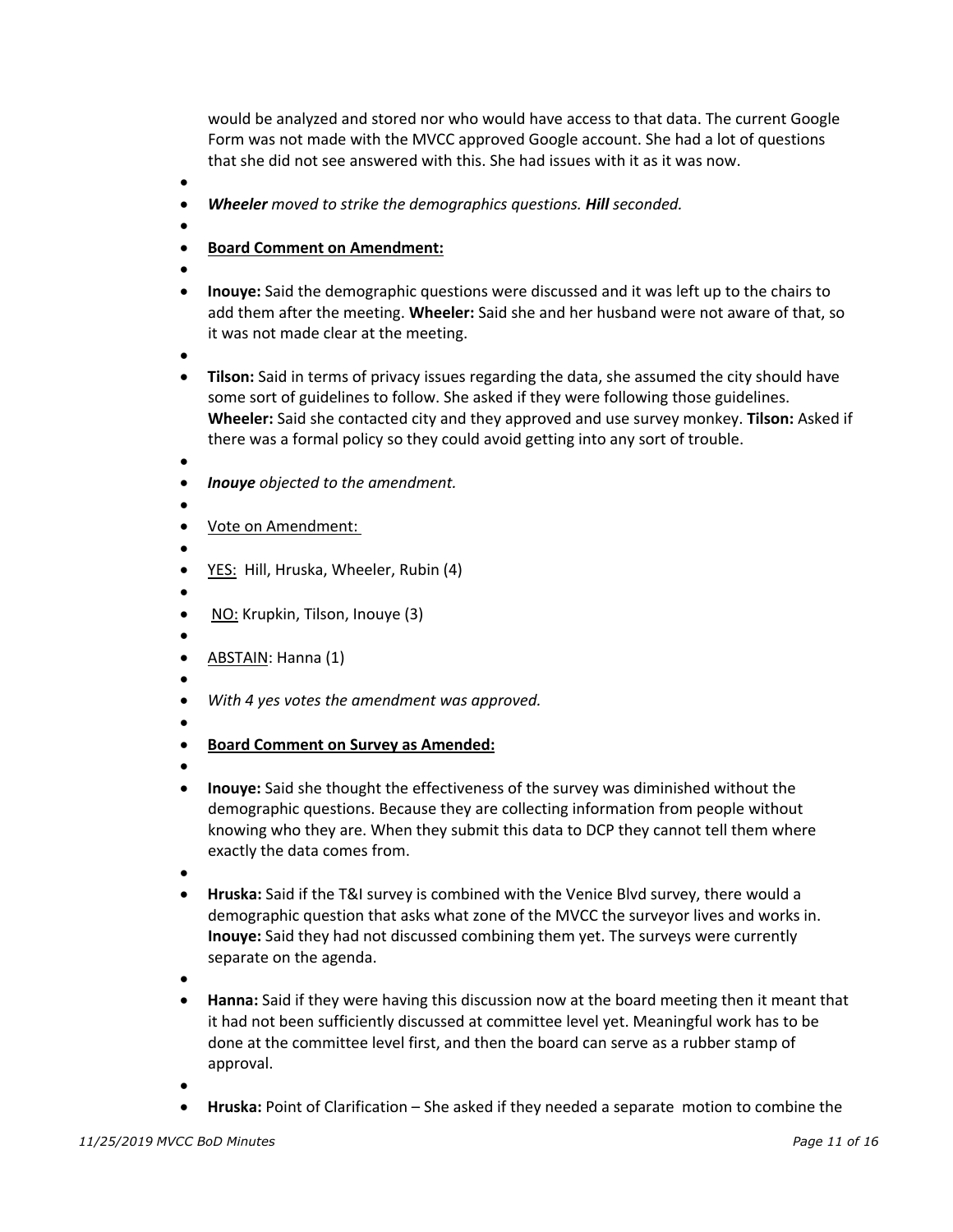would be analyzed and stored nor who would have access to that data. The current Google Form was not made with the MVCC approved Google account. She had a lot of questions that she did not see answered with this. She had issues with it as it was now.

- •
- *Wheeler moved to strike the demographics questions. Hill seconded.*
- •
- **Board Comment on Amendment:**
- •
- **Inouye:** Said the demographic questions were discussed and it was left up to the chairs to add them after the meeting. **Wheeler:** Said she and her husband were not aware of that, so it was not made clear at the meeting.
- •
- **Tilson:** Said in terms of privacy issues regarding the data, she assumed the city should have some sort of guidelines to follow. She asked if they were following those guidelines. **Wheeler:** Said she contacted city and they approved and use survey monkey. **Tilson:** Asked if there was a formal policy so they could avoid getting into any sort of trouble.
- •
- *Inouye objected to the amendment.*
- Vote on Amendment:
- •

- YES: Hill, Hruska, Wheeler, Rubin (4)
- •
- NO: Krupkin, Tilson, Inouye (3)
- • ABSTAIN: Hanna (1)
- •
- *With 4 yes votes the amendment was approved.*
- •
- **Board Comment on Survey as Amended:**
- •
- **Inouye:** Said she thought the effectiveness of the survey was diminished without the demographic questions. Because they are collecting information from people without knowing who they are. When they submit this data to DCP they cannot tell them where exactly the data comes from.
- •
- **Hruska:** Said if the T&I survey is combined with the Venice Blvd survey, there would a demographic question that asks what zone of the MVCC the surveyor lives and works in. **Inouye:** Said they had not discussed combining them yet. The surveys were currently separate on the agenda.
- •
- **Hanna:** Said if they were having this discussion now at the board meeting then it meant that it had not been sufficiently discussed at committee level yet. Meaningful work has to be done at the committee level first, and then the board can serve as a rubber stamp of approval.
- •
- **Hruska:** Point of Clarification She asked if they needed a separate motion to combine the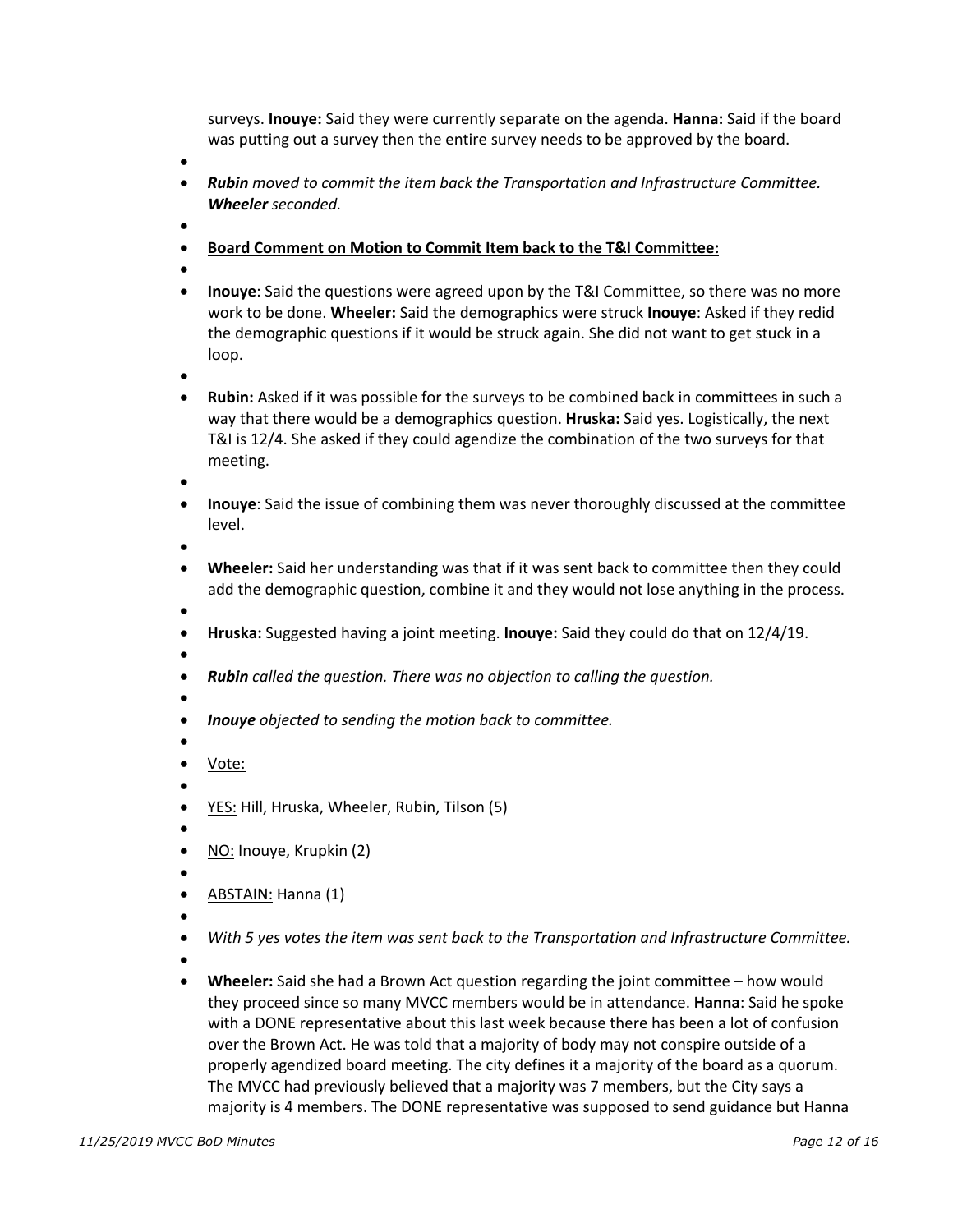surveys. **Inouye:** Said they were currently separate on the agenda. **Hanna:** Said if the board was putting out a survey then the entire survey needs to be approved by the board.

•

- *Rubin moved to commit the item back the Transportation and Infrastructure Committee. Wheeler seconded.*
- •
- **Board Comment on Motion to Commit Item back to the T&I Committee:**
- •
- **Inouye**: Said the questions were agreed upon by the T&I Committee, so there was no more work to be done. **Wheeler:** Said the demographics were struck **Inouye**: Asked if they redid the demographic questions if it would be struck again. She did not want to get stuck in a loop.
- •
- **Rubin:** Asked if it was possible for the surveys to be combined back in committees in such a way that there would be a demographics question. **Hruska:** Said yes. Logistically, the next T&I is 12/4. She asked if they could agendize the combination of the two surveys for that meeting.
- •
- **Inouye**: Said the issue of combining them was never thoroughly discussed at the committee level.

- **Wheeler:** Said her understanding was that if it was sent back to committee then they could add the demographic question, combine it and they would not lose anything in the process.
- • **Hruska:** Suggested having a joint meeting. **Inouye:** Said they could do that on 12/4/19.
	- •
	- *Rubin called the question. There was no objection to calling the question.*
	- •
	- *Inouye objected to sending the motion back to committee.*
	- • Vote:
	- •
	- YES: Hill, Hruska, Wheeler, Rubin, Tilson (5)
	- •
	- NO: Inouye, Krupkin (2)
	- •
	- ABSTAIN: Hanna (1)
	- •
	- *With 5 yes votes the item was sent back to the Transportation and Infrastructure Committee.*
	- •
	- **Wheeler:** Said she had a Brown Act question regarding the joint committee how would they proceed since so many MVCC members would be in attendance. **Hanna**: Said he spoke with a DONE representative about this last week because there has been a lot of confusion over the Brown Act. He was told that a majority of body may not conspire outside of a properly agendized board meeting. The city defines it a majority of the board as a quorum. The MVCC had previously believed that a majority was 7 members, but the City says a majority is 4 members. The DONE representative was supposed to send guidance but Hanna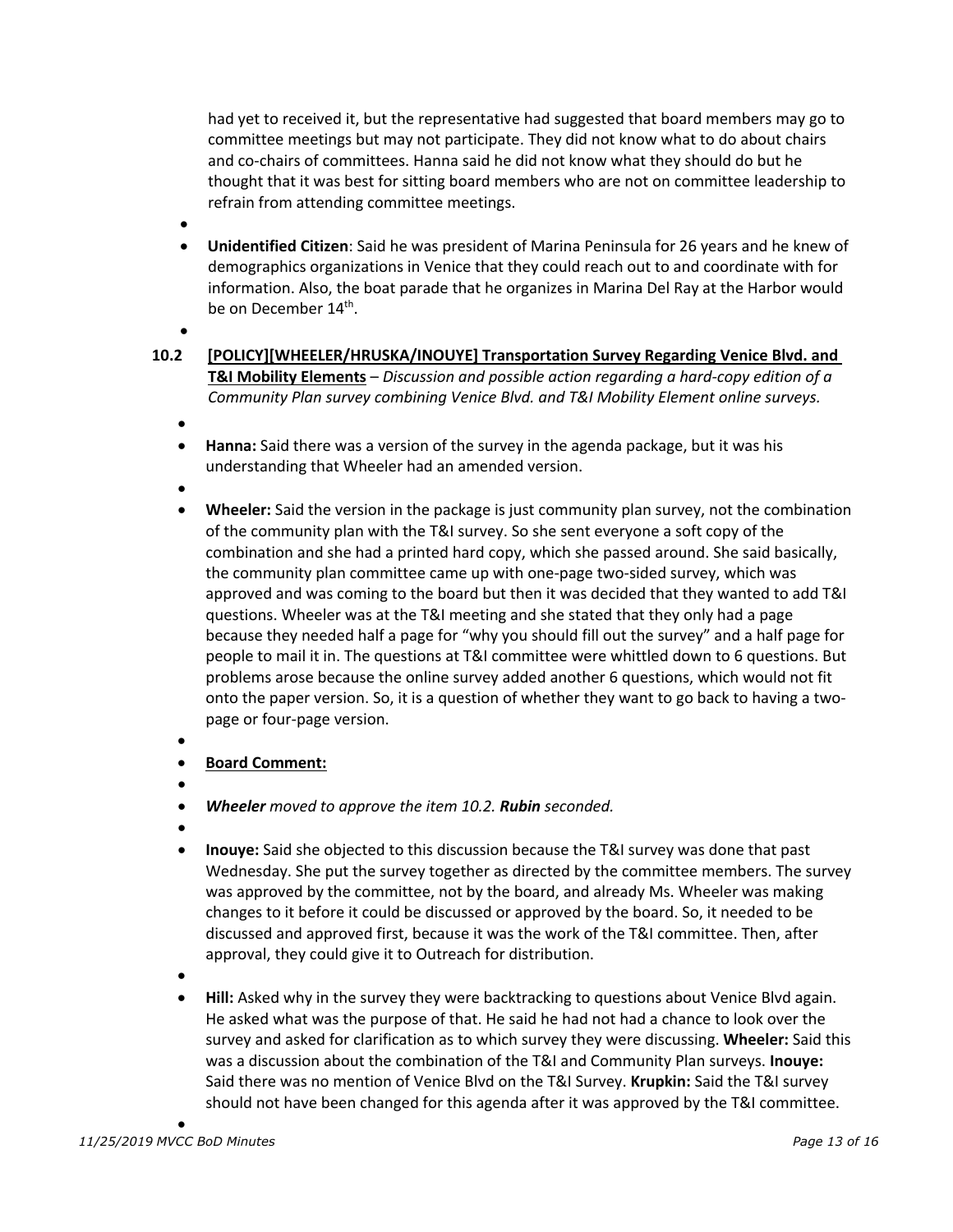had yet to received it, but the representative had suggested that board members may go to committee meetings but may not participate. They did not know what to do about chairs and co-chairs of committees. Hanna said he did not know what they should do but he thought that it was best for sitting board members who are not on committee leadership to refrain from attending committee meetings.

- •
- **Unidentified Citizen**: Said he was president of Marina Peninsula for 26 years and he knew of demographics organizations in Venice that they could reach out to and coordinate with for information. Also, the boat parade that he organizes in Marina Del Ray at the Harbor would be on December 14<sup>th</sup>.
- •
- **10.2 [POLICY][WHEELER/HRUSKA/INOUYE] Transportation Survey Regarding Venice Blvd. and T&I Mobility Elements** – *Discussion and possible action regarding a hard-copy edition of a Community Plan survey combining Venice Blvd. and T&I Mobility Element online surveys.*
	- •
	- **Hanna:** Said there was a version of the survey in the agenda package, but it was his understanding that Wheeler had an amended version.
	- •
	- **Wheeler:** Said the version in the package is just community plan survey, not the combination of the community plan with the T&I survey. So she sent everyone a soft copy of the combination and she had a printed hard copy, which she passed around. She said basically, the community plan committee came up with one-page two-sided survey, which was approved and was coming to the board but then it was decided that they wanted to add T&I questions. Wheeler was at the T&I meeting and she stated that they only had a page because they needed half a page for "why you should fill out the survey" and a half page for people to mail it in. The questions at T&I committee were whittled down to 6 questions. But problems arose because the online survey added another 6 questions, which would not fit onto the paper version. So, it is a question of whether they want to go back to having a twopage or four-page version.
	- •
	- **Board Comment:**
	- •
	- *Wheeler moved to approve the item 10.2. Rubin seconded.*
	- •
	- **Inouye:** Said she objected to this discussion because the T&I survey was done that past Wednesday. She put the survey together as directed by the committee members. The survey was approved by the committee, not by the board, and already Ms. Wheeler was making changes to it before it could be discussed or approved by the board. So, it needed to be discussed and approved first, because it was the work of the T&I committee. Then, after approval, they could give it to Outreach for distribution.
	- •
	- **Hill:** Asked why in the survey they were backtracking to questions about Venice Blvd again. He asked what was the purpose of that. He said he had not had a chance to look over the survey and asked for clarification as to which survey they were discussing. **Wheeler:** Said this was a discussion about the combination of the T&I and Community Plan surveys. **Inouye:** Said there was no mention of Venice Blvd on the T&I Survey. **Krupkin:** Said the T&I survey should not have been changed for this agenda after it was approved by the T&I committee.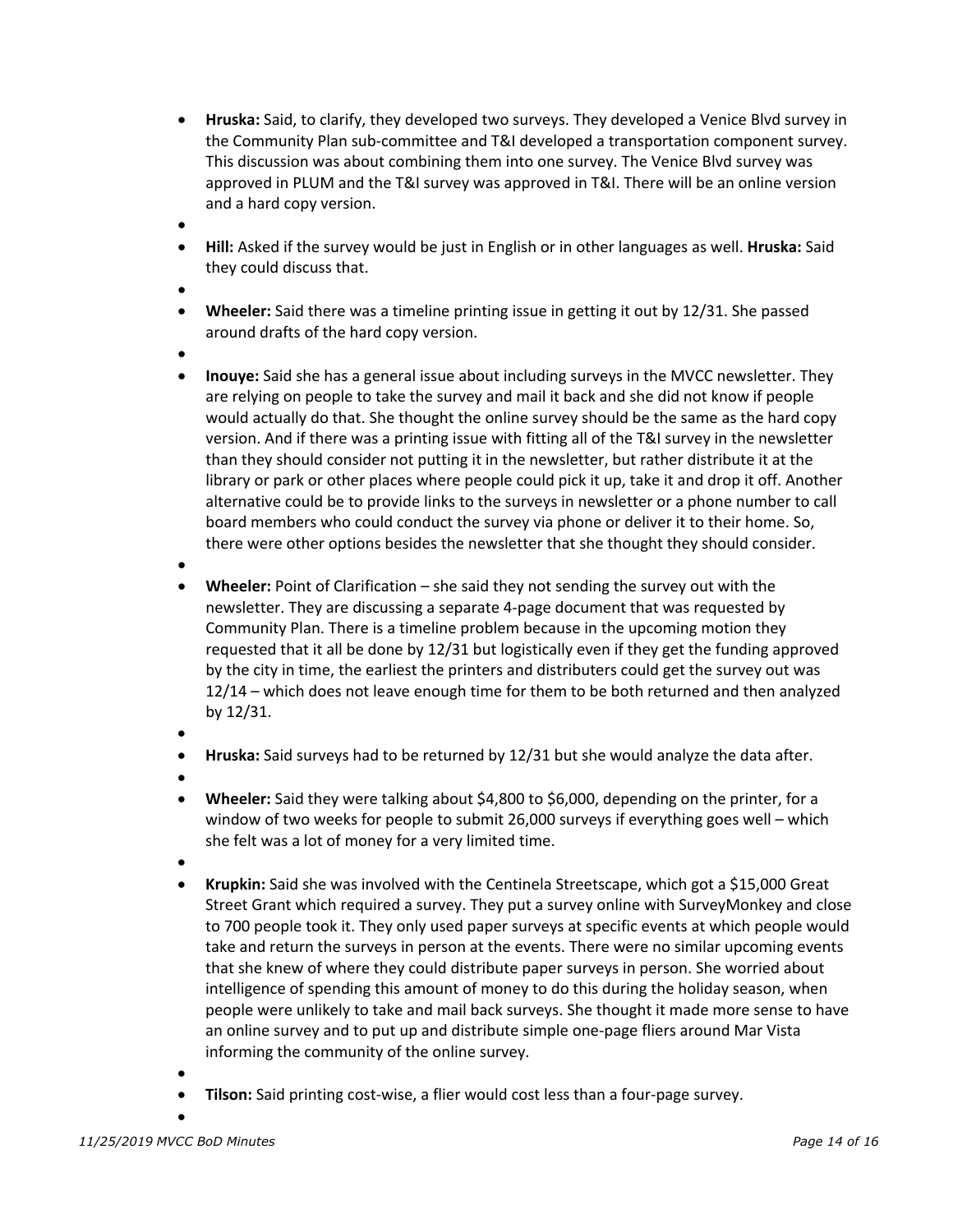- **Hruska:** Said, to clarify, they developed two surveys. They developed a Venice Blvd survey in the Community Plan sub-committee and T&I developed a transportation component survey. This discussion was about combining them into one survey. The Venice Blvd survey was approved in PLUM and the T&I survey was approved in T&I. There will be an online version and a hard copy version.
- •
- **Hill:** Asked if the survey would be just in English or in other languages as well. **Hruska:** Said they could discuss that.
- •
- **Wheeler:** Said there was a timeline printing issue in getting it out by 12/31. She passed around drafts of the hard copy version.
- •
- **Inouye:** Said she has a general issue about including surveys in the MVCC newsletter. They are relying on people to take the survey and mail it back and she did not know if people would actually do that. She thought the online survey should be the same as the hard copy version. And if there was a printing issue with fitting all of the T&I survey in the newsletter than they should consider not putting it in the newsletter, but rather distribute it at the library or park or other places where people could pick it up, take it and drop it off. Another alternative could be to provide links to the surveys in newsletter or a phone number to call board members who could conduct the survey via phone or deliver it to their home. So, there were other options besides the newsletter that she thought they should consider.
- •
- **Wheeler:** Point of Clarification she said they not sending the survey out with the newsletter. They are discussing a separate 4-page document that was requested by Community Plan. There is a timeline problem because in the upcoming motion they requested that it all be done by 12/31 but logistically even if they get the funding approved by the city in time, the earliest the printers and distributers could get the survey out was 12/14 – which does not leave enough time for them to be both returned and then analyzed by 12/31.
- - **Hruska:** Said surveys had to be returned by 12/31 but she would analyze the data after.
- •
- **Wheeler:** Said they were talking about \$4,800 to \$6,000, depending on the printer, for a window of two weeks for people to submit 26,000 surveys if everything goes well – which she felt was a lot of money for a very limited time.
- •
- **Krupkin:** Said she was involved with the Centinela Streetscape, which got a \$15,000 Great Street Grant which required a survey. They put a survey online with SurveyMonkey and close to 700 people took it. They only used paper surveys at specific events at which people would take and return the surveys in person at the events. There were no similar upcoming events that she knew of where they could distribute paper surveys in person. She worried about intelligence of spending this amount of money to do this during the holiday season, when people were unlikely to take and mail back surveys. She thought it made more sense to have an online survey and to put up and distribute simple one-page fliers around Mar Vista informing the community of the online survey.
- **Tilson:** Said printing cost-wise, a flier would cost less than a four-page survey.
- •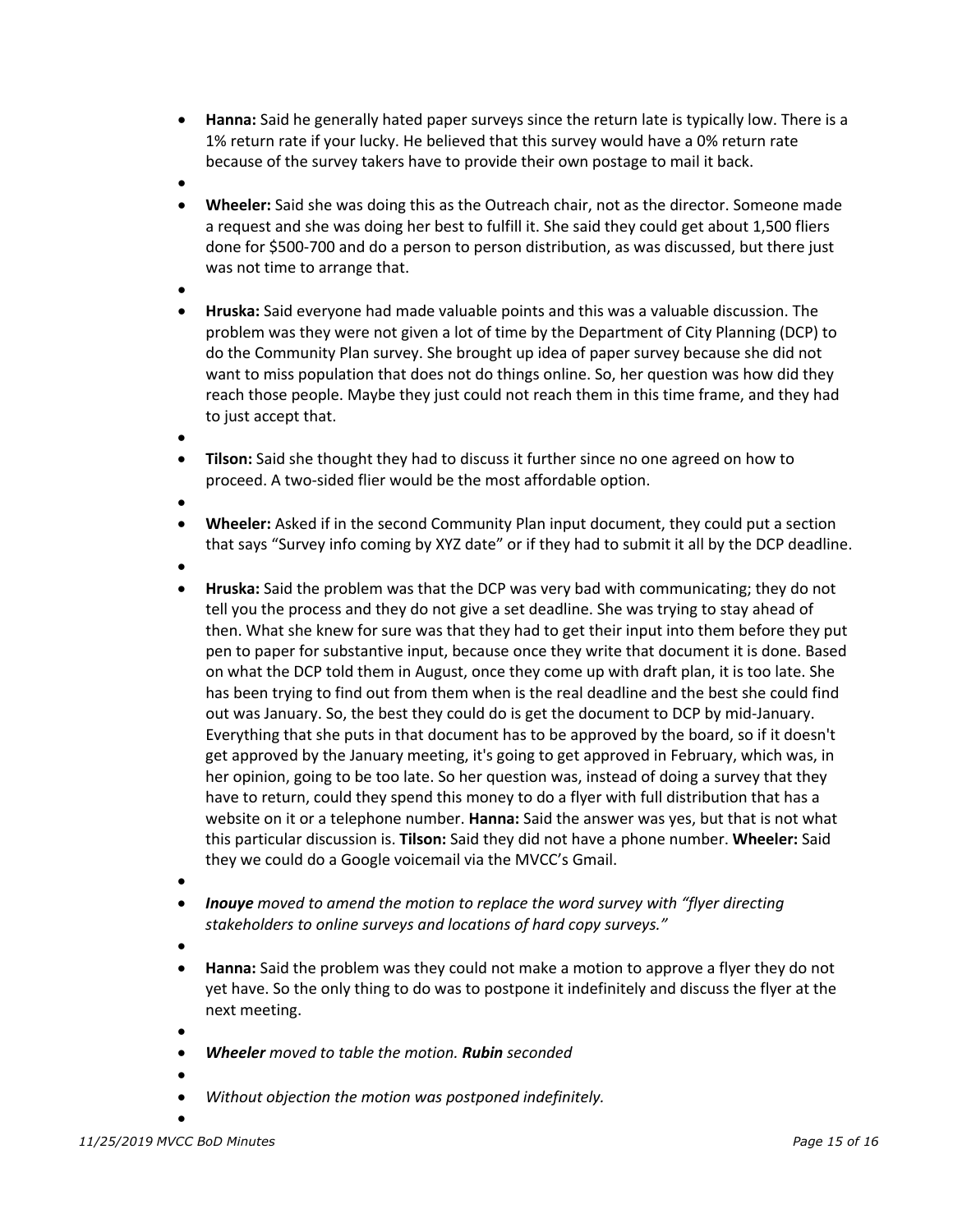- **Hanna:** Said he generally hated paper surveys since the return late is typically low. There is a 1% return rate if your lucky. He believed that this survey would have a 0% return rate because of the survey takers have to provide their own postage to mail it back.
- •
- **Wheeler:** Said she was doing this as the Outreach chair, not as the director. Someone made a request and she was doing her best to fulfill it. She said they could get about 1,500 fliers done for \$500-700 and do a person to person distribution, as was discussed, but there just was not time to arrange that.
- •
- **Hruska:** Said everyone had made valuable points and this was a valuable discussion. The problem was they were not given a lot of time by the Department of City Planning (DCP) to do the Community Plan survey. She brought up idea of paper survey because she did not want to miss population that does not do things online. So, her question was how did they reach those people. Maybe they just could not reach them in this time frame, and they had to just accept that.
- •
- **Tilson:** Said she thought they had to discuss it further since no one agreed on how to proceed. A two-sided flier would be the most affordable option.
- •
- **Wheeler:** Asked if in the second Community Plan input document, they could put a section that says "Survey info coming by XYZ date" or if they had to submit it all by the DCP deadline.
- •
- **Hruska:** Said the problem was that the DCP was very bad with communicating; they do not tell you the process and they do not give a set deadline. She was trying to stay ahead of then. What she knew for sure was that they had to get their input into them before they put pen to paper for substantive input, because once they write that document it is done. Based on what the DCP told them in August, once they come up with draft plan, it is too late. She has been trying to find out from them when is the real deadline and the best she could find out was January. So, the best they could do is get the document to DCP by mid-January. Everything that she puts in that document has to be approved by the board, so if it doesn't get approved by the January meeting, it's going to get approved in February, which was, in her opinion, going to be too late. So her question was, instead of doing a survey that they have to return, could they spend this money to do a flyer with full distribution that has a website on it or a telephone number. **Hanna:** Said the answer was yes, but that is not what this particular discussion is. **Tilson:** Said they did not have a phone number. **Wheeler:** Said they we could do a Google voicemail via the MVCC's Gmail.
- •
- *Inouye moved to amend the motion to replace the word survey with "flyer directing stakeholders to online surveys and locations of hard copy surveys."*
- •
- **Hanna:** Said the problem was they could not make a motion to approve a flyer they do not yet have. So the only thing to do was to postpone it indefinitely and discuss the flyer at the next meeting.
- - *Wheeler moved to table the motion. Rubin seconded*
- •
- *Without objection the motion was postponed indefinitely.*